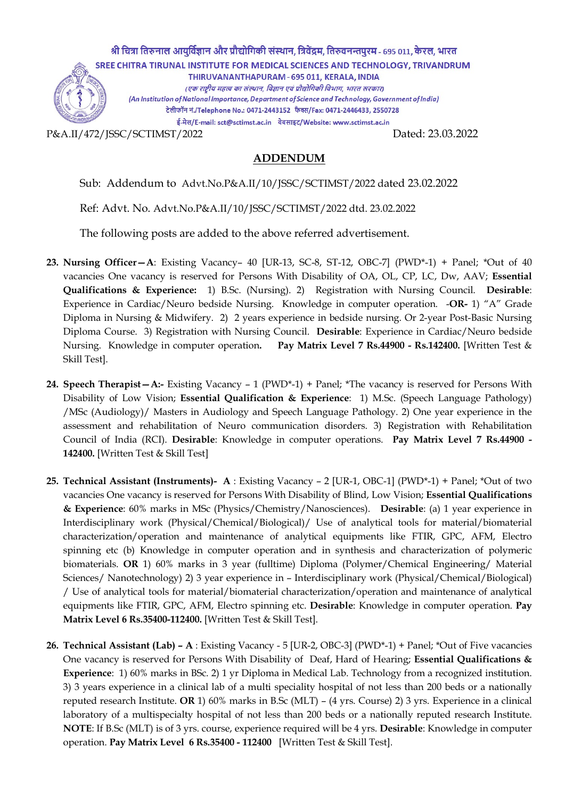

ADDENDUM

Sub: Addendum to Advt.No.P&A.II/10/JSSC/SCTIMST/2022 dated 23.02.2022

Ref: Advt. No. Advt.No.P&A.II/10/JSSC/SCTIMST/2022 dtd. 23.02.2022

The following posts are added to the above referred advertisement.

- 23. Nursing Officer—A: Existing Vacancy– 40 [UR-13, SC-8, ST-12, OBC-7] (PWD\*-1) + Panel; \*Out of 40 vacancies One vacancy is reserved for Persons With Disability of OA, OL, CP, LC, Dw, AAV; Essential Qualifications & Experience: 1) B.Sc. (Nursing). 2) Registration with Nursing Council. Desirable: Experience in Cardiac/Neuro bedside Nursing. Knowledge in computer operation. -OR- 1) "A" Grade Diploma in Nursing & Midwifery. 2) 2 years experience in bedside nursing. Or 2-year Post-Basic Nursing Diploma Course. 3) Registration with Nursing Council. Desirable: Experience in Cardiac/Neuro bedside Nursing. Knowledge in computer operation. Pay Matrix Level 7 Rs.44900 - Rs.142400. [Written Test & Skill Test].
- 24. Speech Therapist A:- Existing Vacancy 1 (PWD\*-1) + Panel; \*The vacancy is reserved for Persons With Disability of Low Vision; Essential Qualification & Experience: 1) M.Sc. (Speech Language Pathology) /MSc (Audiology)/ Masters in Audiology and Speech Language Pathology. 2) One year experience in the assessment and rehabilitation of Neuro communication disorders. 3) Registration with Rehabilitation Council of India (RCI). Desirable: Knowledge in computer operations. Pay Matrix Level 7 Rs.44900 - 142400. [Written Test & Skill Test]
- 25. Technical Assistant (Instruments)- A : Existing Vacancy 2 [UR-1, OBC-1] (PWD\*-1) + Panel; \*Out of two vacancies One vacancy is reserved for Persons With Disability of Blind, Low Vision; Essential Qualifications & Experience: 60% marks in MSc (Physics/Chemistry/Nanosciences). Desirable: (a) 1 year experience in Interdisciplinary work (Physical/Chemical/Biological)/ Use of analytical tools for material/biomaterial characterization/operation and maintenance of analytical equipments like FTIR, GPC, AFM, Electro spinning etc (b) Knowledge in computer operation and in synthesis and characterization of polymeric biomaterials. OR 1) 60% marks in 3 year (fulltime) Diploma (Polymer/Chemical Engineering/ Material Sciences/ Nanotechnology) 2) 3 year experience in – Interdisciplinary work (Physical/Chemical/Biological) / Use of analytical tools for material/biomaterial characterization/operation and maintenance of analytical equipments like FTIR, GPC, AFM, Electro spinning etc. Desirable: Knowledge in computer operation. Pay Matrix Level 6 Rs.35400-112400. [Written Test & Skill Test].
- 26. Technical Assistant (Lab) A : Existing Vacancy 5 [UR-2, OBC-3] (PWD\*-1) + Panel; \*Out of Five vacancies One vacancy is reserved for Persons With Disability of Deaf, Hard of Hearing; Essential Qualifications & Experience: 1) 60% marks in BSc. 2) 1 yr Diploma in Medical Lab. Technology from a recognized institution. 3) 3 years experience in a clinical lab of a multi speciality hospital of not less than 200 beds or a nationally reputed research Institute. OR 1) 60% marks in B.Sc (MLT) – (4 yrs. Course) 2) 3 yrs. Experience in a clinical laboratory of a multispecialty hospital of not less than 200 beds or a nationally reputed research Institute. NOTE: If B.Sc (MLT) is of 3 yrs. course, experience required will be 4 yrs. Desirable: Knowledge in computer operation. Pay Matrix Level 6 Rs.35400 - 112400 [Written Test & Skill Test].